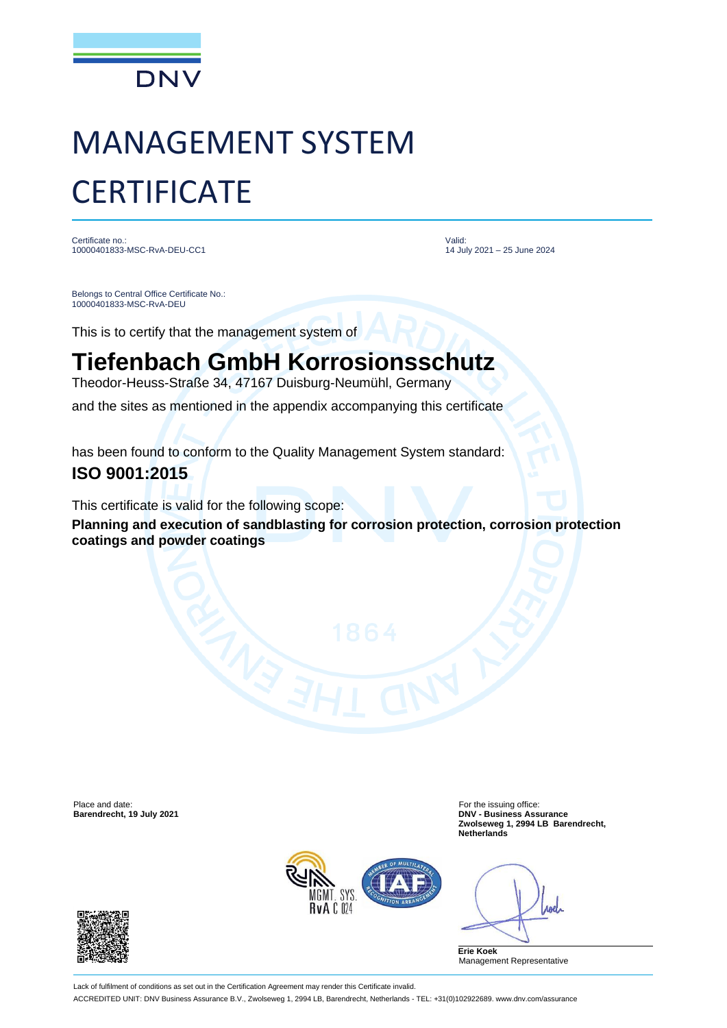

## MANAGEMENT SYSTEM **CERTIFICATE**

Certificate no.: 10000401833-MSC-RvA-DEU-CC1 Valid: 14 July 2021 – 25 June 2024

Belongs to Central Office Certificate No.: 10000401833-MSC-RvA-DEU

This is to certify that the management system of

## **Tiefenbach GmbH Korrosionsschutz**

Theodor-Heuss-Straße 34, 47167 Duisburg-Neumühl, Germany and the sites as mentioned in the appendix accompanying this certificate

has been found to conform to the Quality Management System standard: **ISO 9001:2015**

This certificate is valid for the following scope:

**Planning and execution of sandblasting for corrosion protection, corrosion protection coatings and powder coatings**

Place and date: For the issuing office:<br> **Barendrecht, 19 July 2021 Example 2012 Example 2018 Example 2018 Example 2018 Example 2018 Example 2018 Example 2018 Example 2019 Example 2019 Example 2019 Ex** 

**Barendrecht, 19 July 2021 DNV - Business Assurance Zwolseweg 1, 2994 LB Barendrecht, Netherlands**



**And** 

**Erie Koek** Management Representative

Lack of fulfilment of conditions as set out in the Certification Agreement may render this Certificate invalid. ACCREDITED UNIT: DNV Business Assurance B.V., Zwolseweg 1, 2994 LB, Barendrecht, Netherlands - TEL: +31(0)102922689. www.dnv.com/assurance